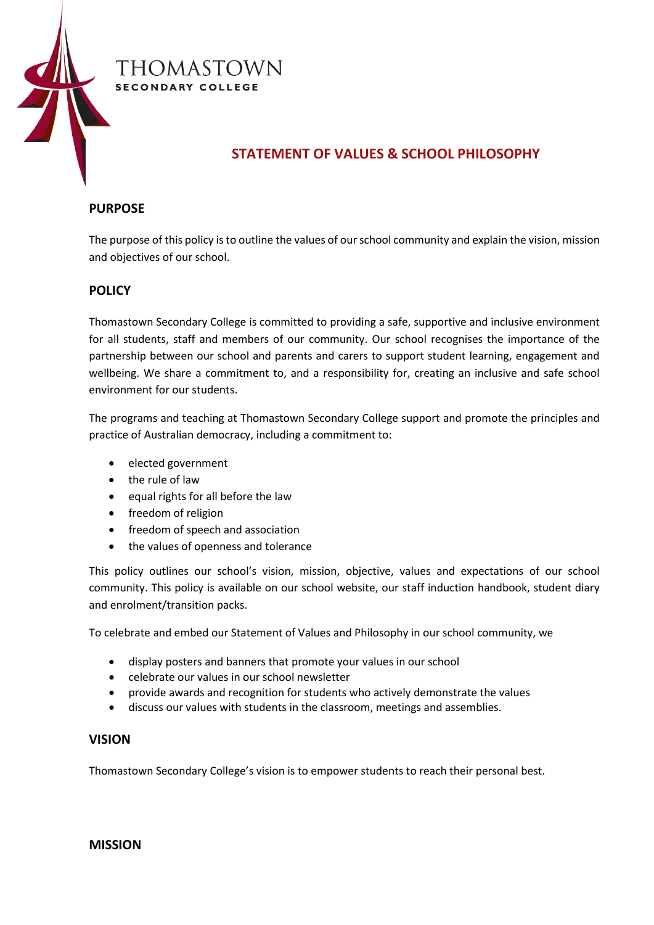

# THOMASTOWN **SECONDARY COLLEGE**

# **STATEMENT OF VALUES & SCHOOL PHILOSOPHY**

## **PURPOSE**

The purpose of this policy is to outline the values of our school community and explain the vision, mission and objectives of our school.

## **POLICY**

Thomastown Secondary College is committed to providing a safe, supportive and inclusive environment for all students, staff and members of our community. Our school recognises the importance of the partnership between our school and parents and carers to support student learning, engagement and wellbeing. We share a commitment to, and a responsibility for, creating an inclusive and safe school environment for our students.

The programs and teaching at Thomastown Secondary College support and promote the principles and practice of Australian democracy, including a commitment to:

- elected government
- the rule of law
- equal rights for all before the law
- freedom of religion
- freedom of speech and association
- the values of openness and tolerance

This policy outlines our school's vision, mission, objective, values and expectations of our school community. This policy is available on our school website, our staff induction handbook, student diary and enrolment/transition packs.

To celebrate and embed our Statement of Values and Philosophy in our school community, we

- display posters and banners that promote your values in our school
- celebrate our values in our school newsletter
- provide awards and recognition for students who actively demonstrate the values
- discuss our values with students in the classroom, meetings and assemblies.

### **VISION**

Thomastown Secondary College's vision is to empower students to reach their personal best.

### **MISSION**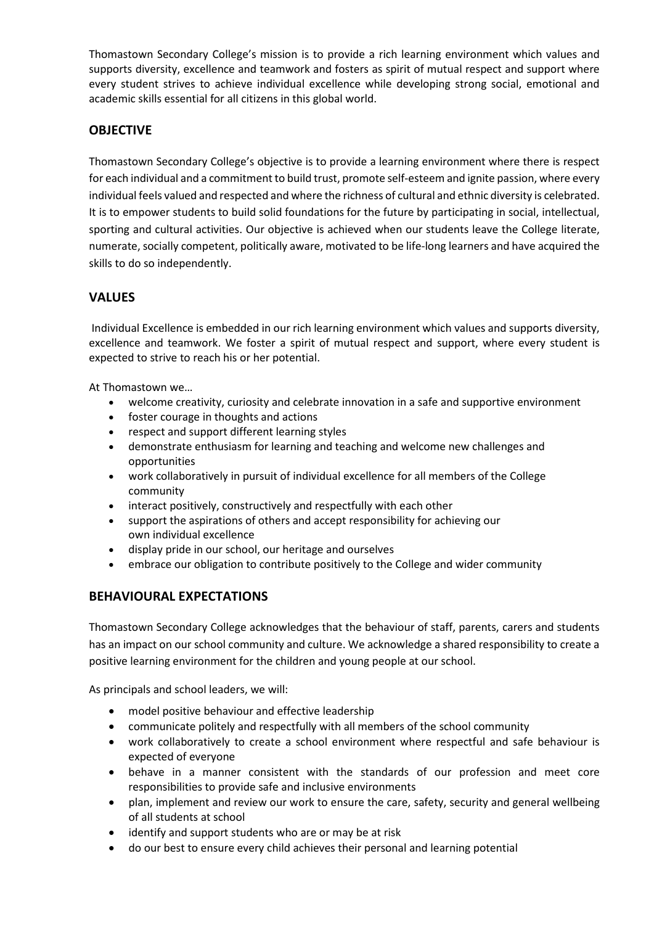Thomastown Secondary College's mission is to provide a rich learning environment which values and supports diversity, excellence and teamwork and fosters as spirit of mutual respect and support where every student strives to achieve individual excellence while developing strong social, emotional and academic skills essential for all citizens in this global world.

## **OBJECTIVE**

Thomastown Secondary College's objective is to provide a learning environment where there is respect for each individual and a commitment to build trust, promote self-esteem and ignite passion, where every individual feels valued and respected and where the richness of cultural and ethnic diversity is celebrated. It is to empower students to build solid foundations for the future by participating in social, intellectual, sporting and cultural activities. Our objective is achieved when our students leave the College literate, numerate, socially competent, politically aware, motivated to be life-long learners and have acquired the skills to do so independently.

## **VALUES**

Individual Excellence is embedded in our rich learning environment which values and supports diversity, excellence and teamwork. We foster a spirit of mutual respect and support, where every student is expected to strive to reach his or her potential.

At Thomastown we…

- welcome creativity, curiosity and celebrate innovation in a safe and supportive environment
- foster courage in thoughts and actions
- respect and support different learning styles
- demonstrate enthusiasm for learning and teaching and welcome new challenges and opportunities
- work collaboratively in pursuit of individual excellence for all members of the College community
- interact positively, constructively and respectfully with each other
- support the aspirations of others and accept responsibility for achieving our own individual excellence
- display pride in our school, our heritage and ourselves
- embrace our obligation to contribute positively to the College and wider community

## **BEHAVIOURAL EXPECTATIONS**

Thomastown Secondary College acknowledges that the behaviour of staff, parents, carers and students has an impact on our school community and culture. We acknowledge a shared responsibility to create a positive learning environment for the children and young people at our school.

As principals and school leaders, we will:

- model positive behaviour and effective leadership
- communicate politely and respectfully with all members of the school community
- work collaboratively to create a school environment where respectful and safe behaviour is expected of everyone
- behave in a manner consistent with the standards of our profession and meet core responsibilities to provide safe and inclusive environments
- plan, implement and review our work to ensure the care, safety, security and general wellbeing of all students at school
- identify and support students who are or may be at risk
- do our best to ensure every child achieves their personal and learning potential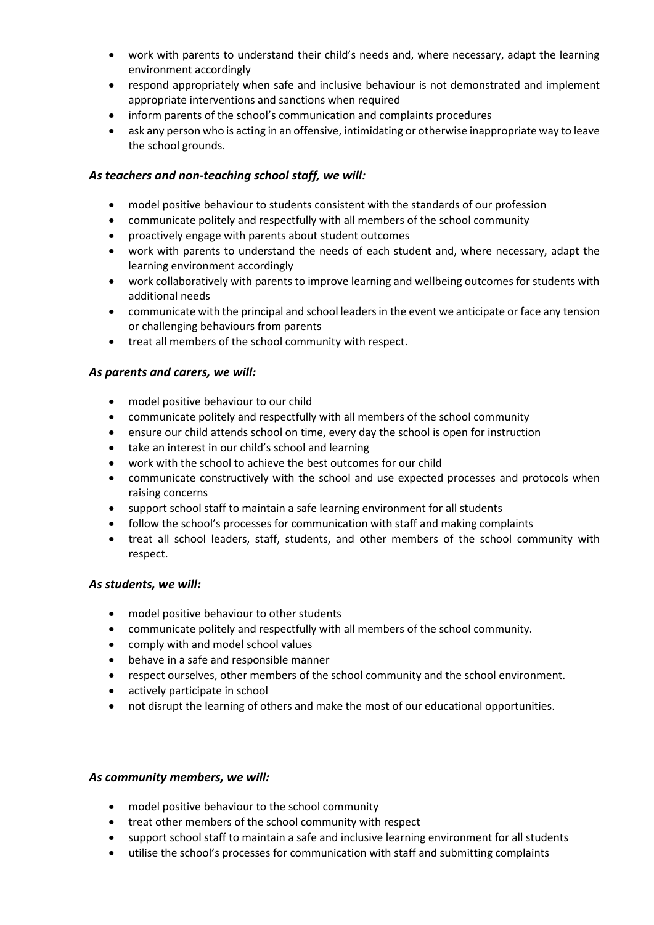- work with parents to understand their child's needs and, where necessary, adapt the learning environment accordingly
- respond appropriately when safe and inclusive behaviour is not demonstrated and implement appropriate interventions and sanctions when required
- inform parents of the school's communication and complaints procedures
- ask any person who is acting in an offensive, intimidating or otherwise inappropriate way to leave the school grounds.

### *As teachers and non-teaching school staff, we will:*

- model positive behaviour to students consistent with the standards of our profession
- communicate politely and respectfully with all members of the school community
- proactively engage with parents about student outcomes
- work with parents to understand the needs of each student and, where necessary, adapt the learning environment accordingly
- work collaboratively with parents to improve learning and wellbeing outcomes for students with additional needs
- communicate with the principal and school leaders in the event we anticipate or face any tension or challenging behaviours from parents
- treat all members of the school community with respect.

### *As parents and carers, we will:*

- model positive behaviour to our child
- communicate politely and respectfully with all members of the school community
- ensure our child attends school on time, every day the school is open for instruction
- take an interest in our child's school and learning
- work with the school to achieve the best outcomes for our child
- communicate constructively with the school and use expected processes and protocols when raising concerns
- support school staff to maintain a safe learning environment for all students
- follow the school's processes for communication with staff and making complaints
- treat all school leaders, staff, students, and other members of the school community with respect.

### *As students, we will:*

- model positive behaviour to other students
- communicate politely and respectfully with all members of the school community.
- comply with and model school values
- behave in a safe and responsible manner
- respect ourselves, other members of the school community and the school environment.
- actively participate in school
- not disrupt the learning of others and make the most of our educational opportunities.

### *As community members, we will:*

- model positive behaviour to the school community
- treat other members of the school community with respect
- support school staff to maintain a safe and inclusive learning environment for all students
- utilise the school's processes for communication with staff and submitting complaints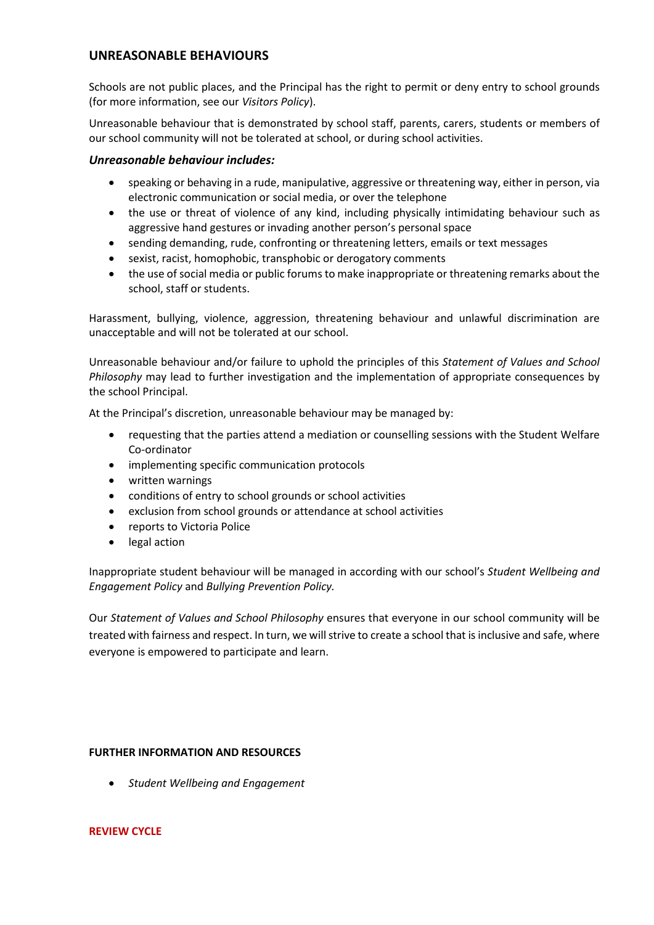## **UNREASONABLE BEHAVIOURS**

Schools are not public places, and the Principal has the right to permit or deny entry to school grounds (for more information, see our *Visitors Policy*).

Unreasonable behaviour that is demonstrated by school staff, parents, carers, students or members of our school community will not be tolerated at school, or during school activities.

#### *Unreasonable behaviour includes:*

- speaking or behaving in a rude, manipulative, aggressive or threatening way, either in person, via electronic communication or social media, or over the telephone
- the use or threat of violence of any kind, including physically intimidating behaviour such as aggressive hand gestures or invading another person's personal space
- sending demanding, rude, confronting or threatening letters, emails or text messages
- sexist, racist, homophobic, transphobic or derogatory comments
- the use of social media or public forums to make inappropriate or threatening remarks about the school, staff or students.

Harassment, bullying, violence, aggression, threatening behaviour and unlawful discrimination are unacceptable and will not be tolerated at our school.

Unreasonable behaviour and/or failure to uphold the principles of this *Statement of Values and School Philosophy* may lead to further investigation and the implementation of appropriate consequences by the school Principal.

At the Principal's discretion, unreasonable behaviour may be managed by:

- requesting that the parties attend a mediation or counselling sessions with the Student Welfare Co-ordinator
- implementing specific communication protocols
- written warnings
- conditions of entry to school grounds or school activities
- exclusion from school grounds or attendance at school activities
- reports to Victoria Police
- legal action

Inappropriate student behaviour will be managed in according with our school's *Student Wellbeing and Engagement Policy* and *Bullying Prevention Policy.*

Our *Statement of Values and School Philosophy* ensures that everyone in our school community will be treated with fairness and respect. In turn, we will strive to create a school that is inclusive and safe, where everyone is empowered to participate and learn.

#### **FURTHER INFORMATION AND RESOURCES**

• *Student Wellbeing and Engagement*

#### **REVIEW CYCLE**